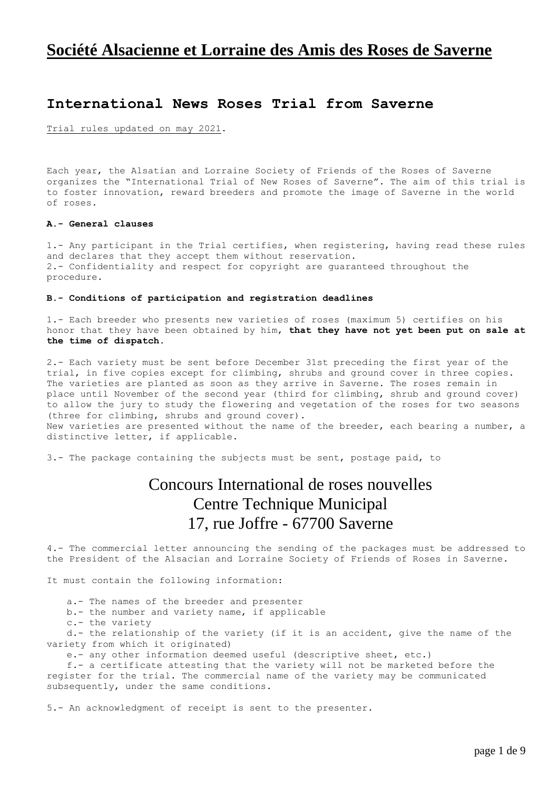# **Société Alsacienne et Lorraine des Amis des Roses de Saverne**

## **International News Roses Trial from Saverne**

Trial rules updated on may 2021.

Each year, the Alsatian and Lorraine Society of Friends of the Roses of Saverne organizes the "International Trial of New Roses of Saverne". The aim of this trial is to foster innovation, reward breeders and promote the image of Saverne in the world of roses.

## **A.- General clauses**

1.- Any participant in the Trial certifies, when registering, having read these rules and declares that they accept them without reservation. 2.- Confidentiality and respect for copyright are guaranteed throughout the procedure.

### **B.- Conditions of participation and registration deadlines**

1.- Each breeder who presents new varieties of roses (maximum 5) certifies on his honor that they have been obtained by him, **that they have not yet been put on sale at the time of dispatch.**

2.- Each variety must be sent before December 31st preceding the first year of the trial, in five copies except for climbing, shrubs and ground cover in three copies. The varieties are planted as soon as they arrive in Saverne. The roses remain in place until November of the second year (third for climbing, shrub and ground cover) to allow the jury to study the flowering and vegetation of the roses for two seasons (three for climbing, shrubs and ground cover). New varieties are presented without the name of the breeder, each bearing a number, a distinctive letter, if applicable.

3.- The package containing the subjects must be sent, postage paid, to

# Concours International de roses nouvelles Centre Technique Municipal 17, rue Joffre - 67700 Saverne

4.- The commercial letter announcing the sending of the packages must be addressed to the President of the Alsacian and Lorraine Society of Friends of Roses in Saverne.

It must contain the following information:

a.- The names of the breeder and presenter

b.- the number and variety name, if applicable

c.- the variety

d.- the relationship of the variety (if it is an accident, give the name of the variety from which it originated)

e.- any other information deemed useful (descriptive sheet, etc.)

f.- a certificate attesting that the variety will not be marketed before the register for the trial. The commercial name of the variety may be communicated subsequently, under the same conditions.

5.- An acknowledgment of receipt is sent to the presenter.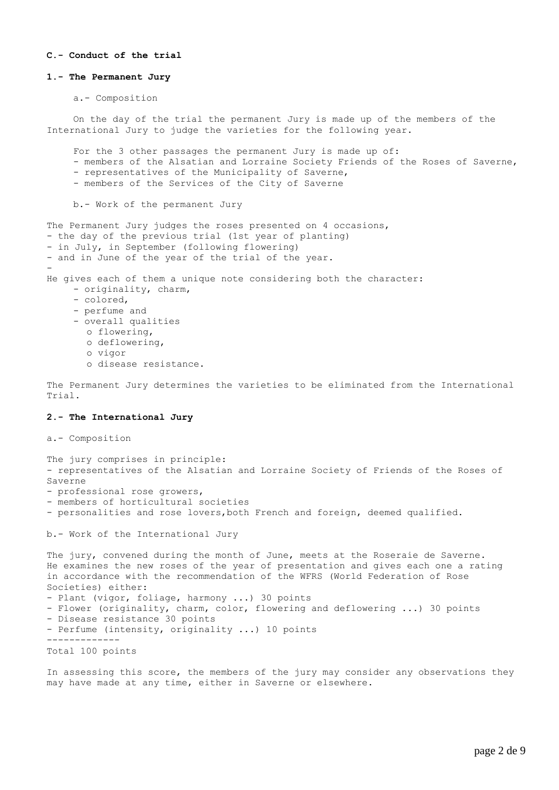### **C.- Conduct of the trial**

#### **1.- The Permanent Jury**

```
a.- Composition
```
On the day of the trial the permanent Jury is made up of the members of the International Jury to judge the varieties for the following year.

For the 3 other passages the permanent Jury is made up of:

- members of the Alsatian and Lorraine Society Friends of the Roses of Saverne,
	- representatives of the Municipality of Saverne,
	- members of the Services of the City of Saverne

b.- Work of the permanent Jury

The Permanent Jury judges the roses presented on 4 occasions, - the day of the previous trial (1st year of planting) - in July, in September (following flowering) - and in June of the year of the trial of the year. - He gives each of them a unique note considering both the character: - originality, charm, - colored, - perfume and - overall qualities o flowering, o deflowering, o vigor o disease resistance.

The Permanent Jury determines the varieties to be eliminated from the International Trial.

### **2.- The International Jury**

a.- Composition

The jury comprises in principle: - representatives of the Alsatian and Lorraine Society of Friends of the Roses of Saverne

- professional rose growers,

- members of horticultural societies
- personalities and rose lovers,both French and foreign, deemed qualified.

b.- Work of the International Jury

The jury, convened during the month of June, meets at the Roseraie de Saverne. He examines the new roses of the year of presentation and gives each one a rating in accordance with the recommendation of the WFRS (World Federation of Rose Societies) either: - Plant (vigor, foliage, harmony ...) 30 points - Flower (originality, charm, color, flowering and deflowering ...) 30 points - Disease resistance 30 points - Perfume (intensity, originality ...) 10 points ------------- Total 100 points

In assessing this score, the members of the jury may consider any observations they may have made at any time, either in Saverne or elsewhere.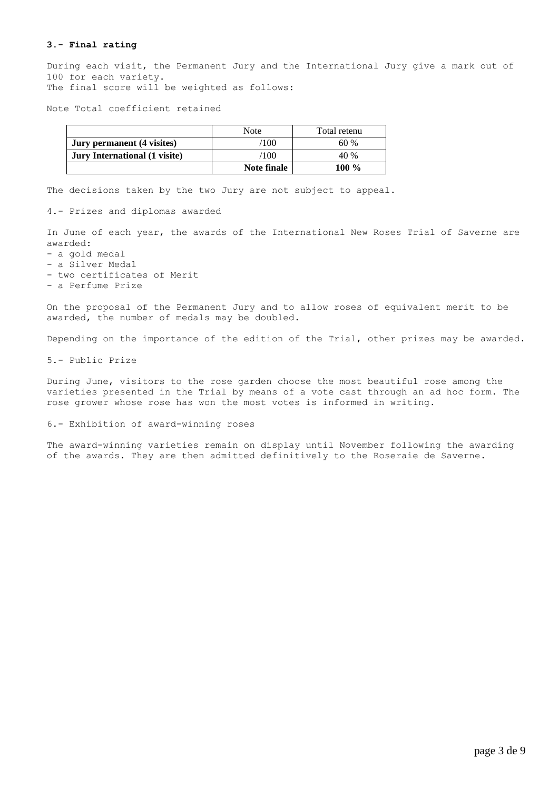### **3.- Final rating**

During each visit, the Permanent Jury and the International Jury give a mark out of 100 for each variety. The final score will be weighted as follows:

Note Total coefficient retained

|                               | Note        | Total retenu |
|-------------------------------|-------------|--------------|
| Jury permanent (4 visites)    | ′100        | 60%          |
| Jury International (1 visite) | /100        | 40 %         |
|                               | Note finale | $100 \%$     |

The decisions taken by the two Jury are not subject to appeal.

4.- Prizes and diplomas awarded

In June of each year, the awards of the International New Roses Trial of Saverne are awarded:

- a gold medal
- a Silver Medal
- two certificates of Merit
- a Perfume Prize

On the proposal of the Permanent Jury and to allow roses of equivalent merit to be awarded, the number of medals may be doubled.

Depending on the importance of the edition of the Trial, other prizes may be awarded.

5.- Public Prize

During June, visitors to the rose garden choose the most beautiful rose among the varieties presented in the Trial by means of a vote cast through an ad hoc form. The rose grower whose rose has won the most votes is informed in writing.

#### 6.- Exhibition of award-winning roses

The award-winning varieties remain on display until November following the awarding of the awards. They are then admitted definitively to the Roseraie de Saverne.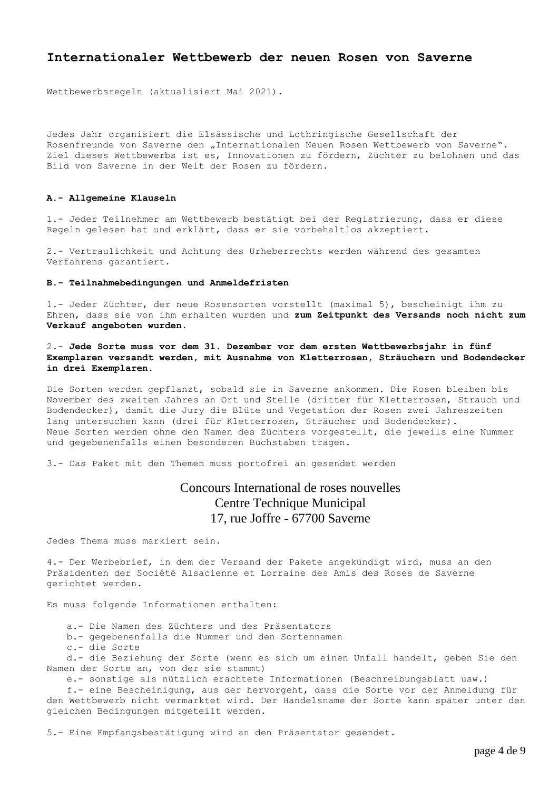## **Internationaler Wettbewerb der neuen Rosen von Saverne**

Wettbewerbsregeln (aktualisiert Mai 2021).

Jedes Jahr organisiert die Elsässische und Lothringische Gesellschaft der Rosenfreunde von Saverne den "Internationalen Neuen Rosen Wettbewerb von Saverne". Ziel dieses Wettbewerbs ist es, Innovationen zu fördern, Züchter zu belohnen und das Bild von Saverne in der Welt der Rosen zu fördern.

#### **A.- Allgemeine Klauseln**

1.- Jeder Teilnehmer am Wettbewerb bestätigt bei der Registrierung, dass er diese Regeln gelesen hat und erklärt, dass er sie vorbehaltlos akzeptiert.

2.- Vertraulichkeit und Achtung des Urheberrechts werden während des gesamten Verfahrens garantiert.

## **B.- Teilnahmebedingungen und Anmeldefristen**

1.- Jeder Züchter, der neue Rosensorten vorstellt (maximal 5), bescheinigt ihm zu Ehren, dass sie von ihm erhalten wurden und **zum Zeitpunkt des Versands noch nicht zum Verkauf angeboten wurden.**

2.- **Jede Sorte muss vor dem 31. Dezember vor dem ersten Wettbewerbsjahr in fünf Exemplaren versandt werden, mit Ausnahme von Kletterrosen, Sträuchern und Bodendecker in drei Exemplaren.**

Die Sorten werden gepflanzt, sobald sie in Saverne ankommen. Die Rosen bleiben bis November des zweiten Jahres an Ort und Stelle (dritter für Kletterrosen, Strauch und Bodendecker), damit die Jury die Blüte und Vegetation der Rosen zwei Jahreszeiten lang untersuchen kann (drei für Kletterrosen, Sträucher und Bodendecker). Neue Sorten werden ohne den Namen des Züchters vorgestellt, die jeweils eine Nummer und gegebenenfalls einen besonderen Buchstaben tragen.

3.- Das Paket mit den Themen muss portofrei an gesendet werden

## Concours International de roses nouvelles Centre Technique Municipal 17, rue Joffre - 67700 Saverne

Jedes Thema muss markiert sein.

4.- Der Werbebrief, in dem der Versand der Pakete angekündigt wird, muss an den Präsidenten der Société Alsacienne et Lorraine des Amis des Roses de Saverne gerichtet werden.

Es muss folgende Informationen enthalten:

a.- Die Namen des Züchters und des Präsentators

b.- gegebenenfalls die Nummer und den Sortennamen

c.- die Sorte

d.- die Beziehung der Sorte (wenn es sich um einen Unfall handelt, geben Sie den Namen der Sorte an, von der sie stammt)

e.- sonstige als nützlich erachtete Informationen (Beschreibungsblatt usw.)

f.- eine Bescheinigung, aus der hervorgeht, dass die Sorte vor der Anmeldung für den Wettbewerb nicht vermarktet wird. Der Handelsname der Sorte kann später unter den gleichen Bedingungen mitgeteilt werden.

5.- Eine Empfangsbestätigung wird an den Präsentator gesendet.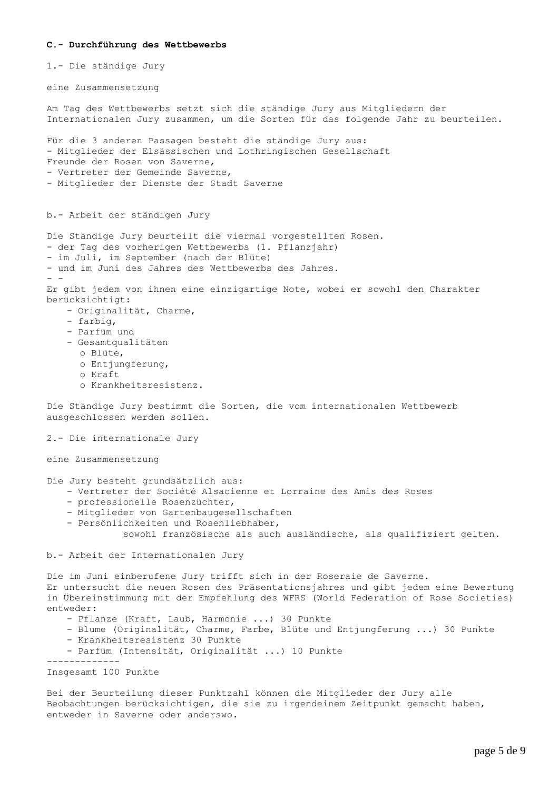#### **C.- Durchführung des Wettbewerbs**

1.- Die ständige Jury

eine Zusammensetzung

Am Tag des Wettbewerbs setzt sich die ständige Jury aus Mitgliedern der Internationalen Jury zusammen, um die Sorten für das folgende Jahr zu beurteilen.

Für die 3 anderen Passagen besteht die ständige Jury aus: - Mitglieder der Elsässischen und Lothringischen Gesellschaft Freunde der Rosen von Saverne, - Vertreter der Gemeinde Saverne,

- Mitglieder der Dienste der Stadt Saverne

b.- Arbeit der ständigen Jury

Die Ständige Jury beurteilt die viermal vorgestellten Rosen.

- der Tag des vorherigen Wettbewerbs (1. Pflanzjahr)
- im Juli, im September (nach der Blüte)
- und im Juni des Jahres des Wettbewerbs des Jahres.

Er gibt jedem von ihnen eine einzigartige Note, wobei er sowohl den Charakter berücksichtigt:

- Originalität, Charme,
- farbig,

- -

- Parfüm und
- Gesamtqualitäten
	- o Blüte,
	- o Entjungferung,
	- o Kraft
	- o Krankheitsresistenz.

Die Ständige Jury bestimmt die Sorten, die vom internationalen Wettbewerb ausgeschlossen werden sollen.

2.- Die internationale Jury

eine Zusammensetzung

Die Jury besteht grundsätzlich aus:

- Vertreter der Société Alsacienne et Lorraine des Amis des Roses
- professionelle Rosenzüchter,
- Mitglieder von Gartenbaugesellschaften
- Persönlichkeiten und Rosenliebhaber,

sowohl französische als auch ausländische, als qualifiziert gelten.

b.- Arbeit der Internationalen Jury

Die im Juni einberufene Jury trifft sich in der Roseraie de Saverne.

Er untersucht die neuen Rosen des Präsentationsjahres und gibt jedem eine Bewertung in Übereinstimmung mit der Empfehlung des WFRS (World Federation of Rose Societies) entweder:

- Pflanze (Kraft, Laub, Harmonie ...) 30 Punkte
- Blume (Originalität, Charme, Farbe, Blüte und Entjungferung ...) 30 Punkte
- Krankheitsresistenz 30 Punkte
- Parfüm (Intensität, Originalität ...) 10 Punkte

-------------

Insgesamt 100 Punkte

Bei der Beurteilung dieser Punktzahl können die Mitglieder der Jury alle Beobachtungen berücksichtigen, die sie zu irgendeinem Zeitpunkt gemacht haben, entweder in Saverne oder anderswo.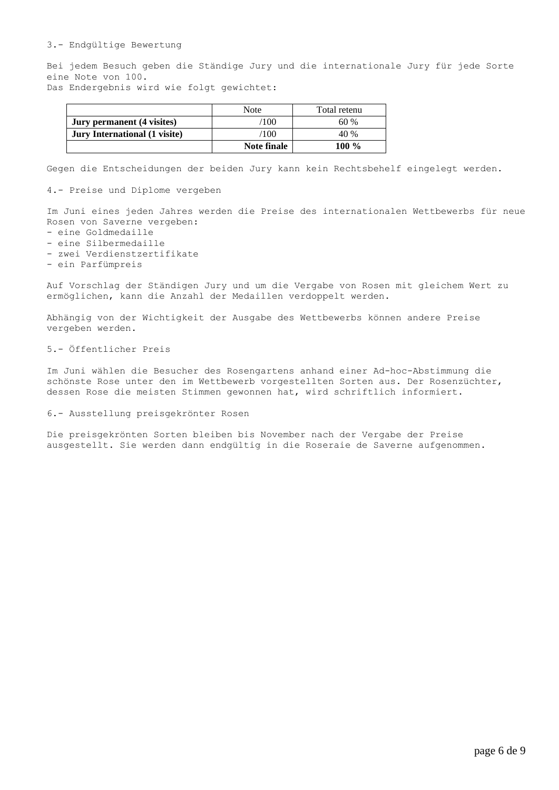#### 3.- Endgültige Bewertung

Bei jedem Besuch geben die Ständige Jury und die internationale Jury für jede Sorte eine Note von 100.

Das Endergebnis wird wie folgt gewichtet:

|                                      | Note           | Total retenu |
|--------------------------------------|----------------|--------------|
| Jury permanent (4 visites)           | $^{\prime}100$ | 60%          |
| <b>Jury International (1 visite)</b> | $^{\prime}100$ | 40 %         |
|                                      | Note finale    | $100 \%$     |

Gegen die Entscheidungen der beiden Jury kann kein Rechtsbehelf eingelegt werden.

## 4.- Preise und Diplome vergeben

Im Juni eines jeden Jahres werden die Preise des internationalen Wettbewerbs für neue Rosen von Saverne vergeben:

- eine Goldmedaille
- eine Silbermedaille
- zwei Verdienstzertifikate
- ein Parfümpreis

Auf Vorschlag der Ständigen Jury und um die Vergabe von Rosen mit gleichem Wert zu ermöglichen, kann die Anzahl der Medaillen verdoppelt werden.

Abhängig von der Wichtigkeit der Ausgabe des Wettbewerbs können andere Preise vergeben werden.

#### 5.- Öffentlicher Preis

Im Juni wählen die Besucher des Rosengartens anhand einer Ad-hoc-Abstimmung die schönste Rose unter den im Wettbewerb vorgestellten Sorten aus. Der Rosenzüchter, dessen Rose die meisten Stimmen gewonnen hat, wird schriftlich informiert.

#### 6.- Ausstellung preisgekrönter Rosen

Die preisgekrönten Sorten bleiben bis November nach der Vergabe der Preise ausgestellt. Sie werden dann endgültig in die Roseraie de Saverne aufgenommen.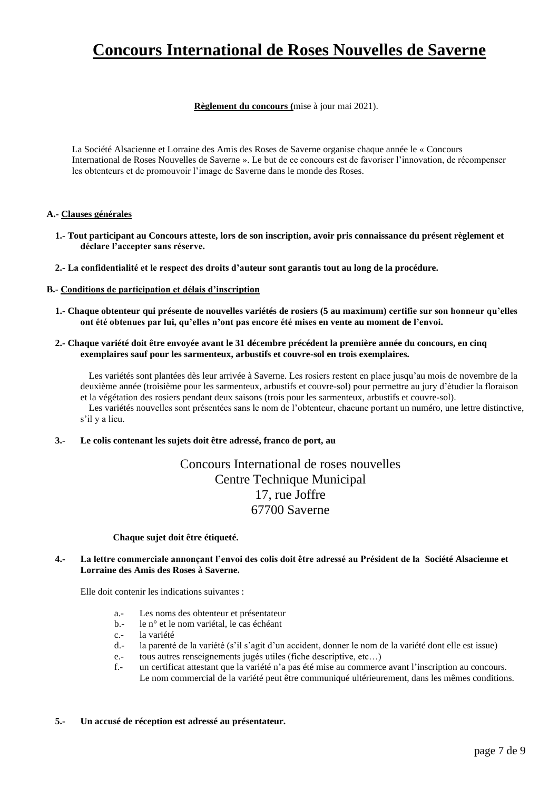# **Concours International de Roses Nouvelles de Saverne**

**Règlement du concours (**mise à jour mai 2021).

La Société Alsacienne et Lorraine des Amis des Roses de Saverne organise chaque année le « Concours International de Roses Nouvelles de Saverne ». Le but de ce concours est de favoriser l'innovation, de récompenser les obtenteurs et de promouvoir l'image de Saverne dans le monde des Roses.

## **A.- Clauses générales**

- **1.- Tout participant au Concours atteste, lors de son inscription, avoir pris connaissance du présent règlement et déclare l'accepter sans réserve.**
- **2.- La confidentialité et le respect des droits d'auteur sont garantis tout au long de la procédure.**

## **B.- Conditions de participation et délais d'inscription**

- **1.- Chaque obtenteur qui présente de nouvelles variétés de rosiers (5 au maximum) certifie sur son honneur qu'elles ont été obtenues par lui, qu'elles n'ont pas encore été mises en vente au moment de l'envoi.**
- **2.- Chaque variété doit être envoyée avant le 31 décembre précédent la première année du concours, en cinq exemplaires sauf pour les sarmenteux, arbustifs et couvre-sol en trois exemplaires.**

Les variétés sont plantées dès leur arrivée à Saverne. Les rosiers restent en place jusqu'au mois de novembre de la deuxième année (troisième pour les sarmenteux, arbustifs et couvre-sol) pour permettre au jury d'étudier la floraison et la végétation des rosiers pendant deux saisons (trois pour les sarmenteux, arbustifs et couvre-sol). Les variétés nouvelles sont présentées sans le nom de l'obtenteur, chacune portant un numéro, une lettre distinctive, s'il y a lieu.

**3.- Le colis contenant les sujets doit être adressé, franco de port, au** 

## Concours International de roses nouvelles Centre Technique Municipal 17, rue Joffre 67700 Saverne

## **Chaque sujet doit être étiqueté.**

## **4.- La lettre commerciale annonçant l'envoi des colis doit être adressé au Président de la Société Alsacienne et Lorraine des Amis des Roses à Saverne.**

Elle doit contenir les indications suivantes :

- a.- Les noms des obtenteur et présentateur
- b.- le n° et le nom variétal, le cas échéant
- c.- la variété
- d.- la parenté de la variété (s'il s'agit d'un accident, donner le nom de la variété dont elle est issue)
- e.- tous autres renseignements jugés utiles (fiche descriptive, etc…)
- f.- un certificat attestant que la variété n'a pas été mise au commerce avant l'inscription au concours. Le nom commercial de la variété peut être communiqué ultérieurement, dans les mêmes conditions.

## **5.- Un accusé de réception est adressé au présentateur.**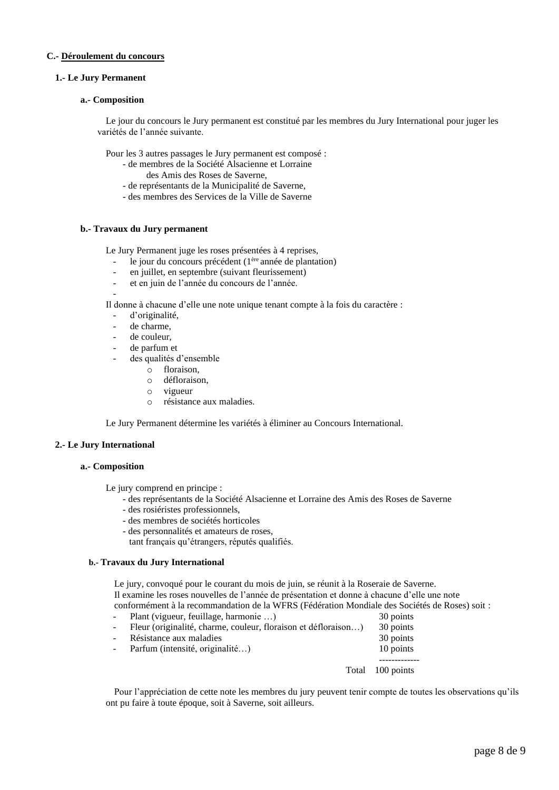## **C.- Déroulement du concours**

## **1.- Le Jury Permanent**

### **a.- Composition**

Le jour du concours le Jury permanent est constitué par les membres du Jury International pour juger les variétés de l'année suivante.

Pour les 3 autres passages le Jury permanent est composé :

- de membres de la Société Alsacienne et Lorraine des Amis des Roses de Saverne,
- de représentants de la Municipalité de Saverne,
- des membres des Services de la Ville de Saverne

### **b.- Travaux du Jury permanent**

Le Jury Permanent juge les roses présentées à 4 reprises,

- le jour du concours précédent (1<sup>ère</sup> année de plantation)
- en juillet, en septembre (suivant fleurissement)
- et en juin de l'année du concours de l'année.

Il donne à chacune d'elle une note unique tenant compte à la fois du caractère :

- d'originalité,

-

- de charme.
- de couleur.
- de parfum et
- des qualités d'ensemble
	- o floraison,
	- o défloraison,
	- o vigueur
	- o résistance aux maladies.

Le Jury Permanent détermine les variétés à éliminer au Concours International.

## **2.- Le Jury International**

## **a.- Composition**

Le jury comprend en principe :

- des représentants de la Société Alsacienne et Lorraine des Amis des Roses de Saverne
- des rosiéristes professionnels,
- des membres de sociétés horticoles
- des personnalités et amateurs de roses,

tant français qu'étrangers, réputés qualifiés.

### **b.- Travaux du Jury International**

Le jury, convoqué pour le courant du mois de juin, se réunit à la Roseraie de Saverne. Il examine les roses nouvelles de l'année de présentation et donne à chacune d'elle une note conformément à la recommandation de la WFRS (Fédération Mondiale des Sociétés de Roses) soit :

- Plant (vigueur, feuillage, harmonie …) 30 points
- Fleur (originalité, charme, couleur, floraison et défloraison...) 30 points
- Résistance aux maladies 30 points
- Parfum (intensité, originalité…) 10 points
	- Total 100 points

-------------

Pour l'appréciation de cette note les membres du jury peuvent tenir compte de toutes les observations qu'ils ont pu faire à toute époque, soit à Saverne, soit ailleurs.